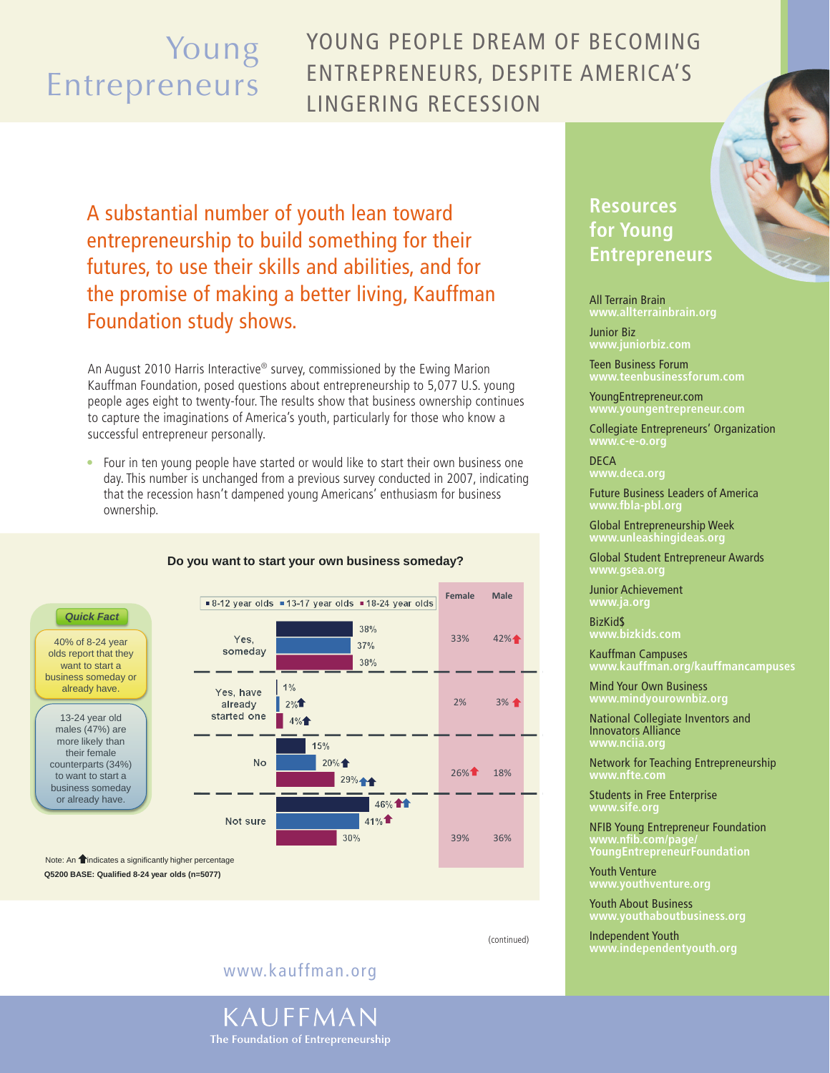# Young Entrepreneurs

## Young people dream of becoming entrepreneurs, despite America's lingering recession

A substantial number of youth lean toward entrepreneurship to build something for their futures, to use their skills and abilities, and for the promise of making a better living, Kauffman Foundation study shows.

An August 2010 Harris Interactive® survey, commissioned by the Ewing Marion Kauffman Foundation, posed questions about entrepreneurship to 5,077 U.S. young people ages eight to twenty-four. The results show that business ownership continues to capture the imaginations of America's youth, particularly for those who know a successful entrepreneur personally.

• Four in ten young people have started or would like to start their own business one day. This number is unchanged from a previous survey conducted in 2007, indicating that the recession hasn't dampened young Americans' enthusiasm for business **Do you want to start your own business someday?** ownership.



### **Do you want to start your own business someday?**

**Q5200 BASE: Qualified 8-24 year olds (n=5077)** Note: An **f**indicates a significantly higher percentage

40% of 8-24 year

their female counterparts (34%) to want to start a business someday or already have.

### www.kauffman.org



### **Resources for Young Entrepreneurs**

All Terrain Brain **www.allterrainbrain.org**

Junior Biz **www.juniorbiz.com**

Teen Business Forum **www.teenbusinessforum.com**

YoungEntrepreneur.com **www.youngentrepreneur.com**

Collegiate Entrepreneurs' Organization **www.c-e-o.org**

DECA **www.deca.org**

Future Business Leaders of America **www.fbla-pbl.org**

Global Entrepreneurship Week **www.unleashingideas.org**

Global Student Entrepreneur Awards **www.gsea.org**

Junior Achievement **www.ja.org**

BizKid\$ **www.bizkids.com**

Kauffman Campuses **www.kauffman.org/kauffmancampuses**

Mind Your Own Business<br>www.mindvourownhiz **www.mindyourownbiz.org**

National Collegiate Inventors and Innovators Alliance **www.nciia.org**

Network for Teaching Entrepreneurship **www.nfte.com**

Students in Free Enterprise **www.sife.org**

NFIB Young Entrepreneur Foundation **www.nfib.com/page/ YoungEntrepreneurFoundation**

Youth Venture **www.youthventure.org**

Youth About Business

Independent Youth **www.independentyouth.org** (continued)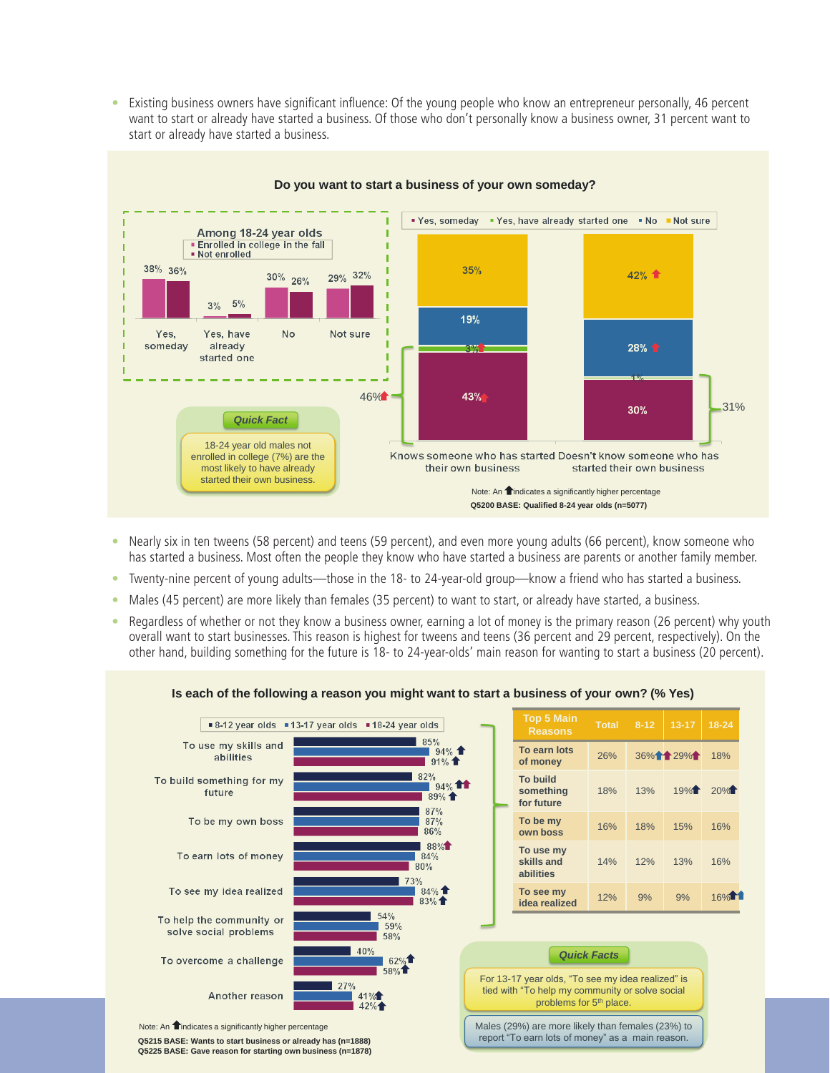• Existing business owners have significant influence: Of the young people who know an entrepreneur personally, 46 percent want to start or already have started a business. Of those who don't personally know a business owner, 31 percent want to start or already have started a business.



#### **Do you want to start a business of your own someday?**

- Nearly six in ten tweens (58 percent) and teens (59 percent), and even more young adults (66 percent), know someone who has started a business. Most often the people they know who have started a business are parents or another family member.
- • Twenty-nine percent of young adults—those in the 18- to 24-year-old group—know a friend who has started a business.
- Males (45 percent) are more likely than females (35 percent) to want to start, or already have started, a business.
- Regardless of whether or not they know a business owner, earning a lot of money is the primary reason (26 percent) why youth overall want to start businesses. This reason is highest for tweens and teens (36 percent and 29 percent, respectively). On the other hand, building something for the future is 18- to 24-year-olds' main reason for wanting to start a business (20 percent).

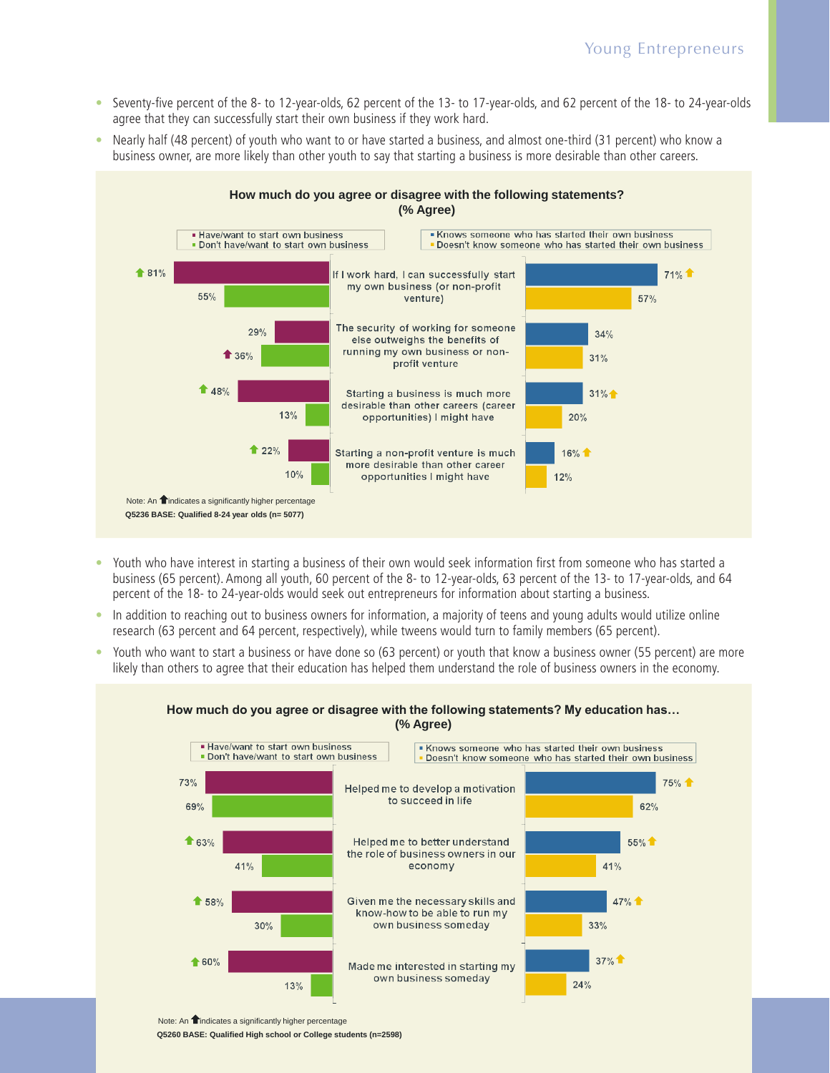- Seventy-five percent of the 8- to 12-year-olds, 62 percent of the 13- to 17-year-olds, and 62 percent of the 18- to 24-year-olds agree that they can successfully start their own business if they work hard.
- Nearly half (48 percent) of youth who want to or have started a business, and almost one-third (31 percent) who know a business owner, are more likely than other youth to say that starting a business is more desirable than other careers.



- Youth who have interest in starting a business of their own would seek information first from someone who has started a business (65 percent). Among all youth, 60 percent of the 8- to 12-year-olds, 63 percent of the 13- to 17-year-olds, and 64 percent of the 18- to 24-year-olds would seek out entrepreneurs for information about starting a business.
- In addition to reaching out to business owners for information, a majority of teens and young adults would utilize online research (63 percent and 64 percent, respectively), while tweens would turn to family members (65 percent).
- Youth who want to start a business or have done so (63 percent) or youth that know a business owner (55 percent) are more likely than others to agree that their education has helped them understand the role of business owners in the economy.



### **How much do you agree or disagree with the following statements? My education has… (% Agree) (% Agree)**

Note: An **indicates a significantly higher percentage** 

Q5260 BASE: Qualified High school or College students (n=2598)